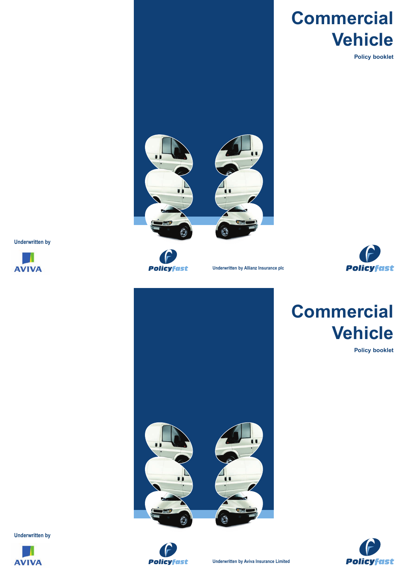# **Commercial Vehicle**

**Policy booklet**





**Underwritten by Allianz Insurance plc**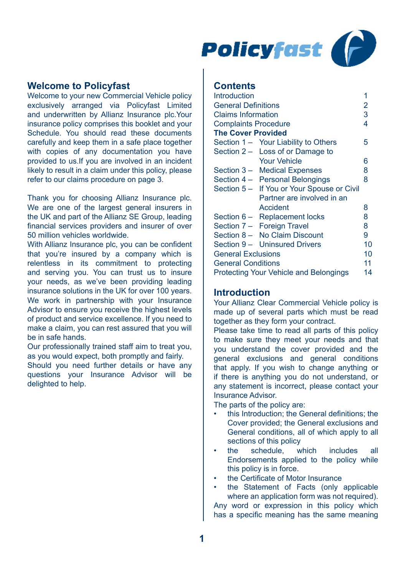

# **Welcome to Policyfast**

Welcome to your new Commercial Vehicle policy exclusively arranged via Policyfast Limited and underwritten by Allianz Insurance plc.Your insurance policy comprises this booklet and your Schedule. You should read these documents carefully and keep them in a safe place together with copies of any documentation you have provided to us.If you are involved in an incident likely to result in a claim under this policy, please refer to our claims procedure on page 3.

Thank you for choosing Allianz Insurance plc. We are one of the largest general insurers in the UK and part of the Allianz SE Group, leading financial services providers and insurer of over 50 million vehicles worldwide.

With Allianz Insurance plc, you can be confident that you're insured by a company which is relentless in its commitment to protecting and serving you. You can trust us to insure your needs, as we've been providing leading insurance solutions in the UK for over 100 years. We work in partnership with your Insurance Advisor to ensure you receive the highest levels of product and service excellence. If you need to make a claim, you can rest assured that you will be in safe hands.

Our professionally trained staff aim to treat you, as you would expect, both promptly and fairly.

Should you need further details or have any questions your Insurance Advisor will be delighted to help.

# **Contents**

| <b>Introduction</b>                          | 1  |  |  |  |
|----------------------------------------------|----|--|--|--|
| <b>General Definitions</b>                   |    |  |  |  |
| <b>Claims Information</b>                    |    |  |  |  |
| <b>Complaints Procedure</b>                  | 4  |  |  |  |
| <b>The Cover Provided</b>                    |    |  |  |  |
| Section 1 - Your Liability to Others         | 5  |  |  |  |
| Section 2 - Loss of or Damage to             |    |  |  |  |
| <b>Your Vehicle</b>                          | 6  |  |  |  |
| Section 3 - Medical Expenses                 | 8  |  |  |  |
| Section 4 - Personal Belongings              | 8  |  |  |  |
| If You or Your Spouse or Civil<br>Section 5- |    |  |  |  |
| Partner are involved in an                   |    |  |  |  |
| Accident                                     | 8  |  |  |  |
| Section 6 - Replacement locks                | 8  |  |  |  |
| Section 7 - Foreign Travel                   | 8  |  |  |  |
| Section 8 - No Claim Discount                | 9  |  |  |  |
| Section 9 - Uninsured Drivers                | 10 |  |  |  |
| <b>General Exclusions</b>                    | 10 |  |  |  |
| <b>General Conditions</b>                    | 11 |  |  |  |
| Protecting Your Vehicle and Belongings       | 14 |  |  |  |

# **Introduction**

Your Allianz Clear Commercial Vehicle policy is made up of several parts which must be read together as they form your contract.

Please take time to read all parts of this policy to make sure they meet your needs and that you understand the cover provided and the general exclusions and general conditions that apply. If you wish to change anything or if there is anything you do not understand, or any statement is incorrect, please contact your Insurance Advisor.

The parts of the policy are:

- this Introduction; the General definitions; the Cover provided; the General exclusions and General conditions, all of which apply to all sections of this policy
- the schedule, which includes all Endorsements applied to the policy while this policy is in force.
- the Certificate of Motor Insurance
- the Statement of Facts (only applicable where an application form was not required).

Any word or expression in this policy which has a specific meaning has the same meaning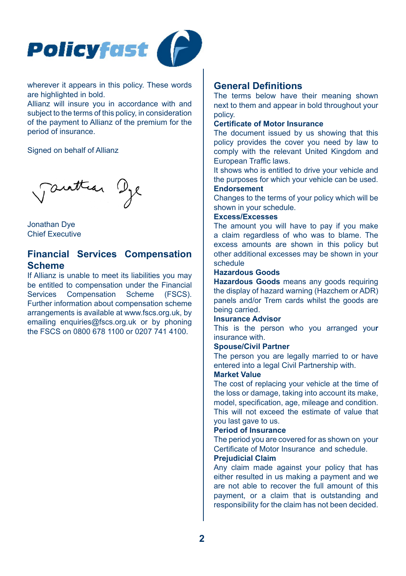

wherever it appears in this policy. These words are highlighted in bold.

Allianz will insure you in accordance with and subject to the terms of this policy, in consideration of the payment to Allianz of the premium for the period of insurance.

## Signed on behalf of Allianz

Tauttian Dye

Jonathan Dye Chief Executive

# **Financial Services Compensation Scheme**

If Allianz is unable to meet its liabilities you may be entitled to compensation under the Financial Services Compensation Scheme (FSCS). Further information about compensation scheme arrangements is available at www.fscs.org.uk, by emailing enquiries@fscs.org.uk or by phoning the FSCS on 0800 678 1100 or 0207 741 4100.

# **General Definitions**

The terms below have their meaning shown next to them and appear in bold throughout your policy.

# **Certificate of Motor Insurance**

The document issued by us showing that this policy provides the cover you need by law to comply with the relevant United Kingdom and European Traffic laws.

It shows who is entitled to drive your vehicle and the purposes for which your vehicle can be used. **Endorsement**

Changes to the terms of your policy which will be shown in your schedule.

#### **Excess/Excesses**

The amount you will have to pay if you make a claim regardless of who was to blame. The excess amounts are shown in this policy but other additional excesses may be shown in your schedule

# **Hazardous Goods**

**Hazardous Goods** means any goods requiring the display of hazard warning (Hazchem or ADR) panels and/or Trem cards whilst the goods are being carried.

## **Insurance Advisor**

This is the person who you arranged you**r** insurance with.

#### **Spouse/Civil Partner**

The person you are legally married to or have entered into a legal Civil Partnership with.

# **Market Value**

The cost of replacing your vehicle at the time of the loss or damage, taking into account its make, model, specification, age, mileage and condition. This will not exceed the estimate of value that you last gave to us.

#### **Period of Insurance**

The period you are covered for as shown on your Certificate of Motor Insurance and schedule.

# **Prejudicial Claim**

Any claim made against your policy that has either resulted in us making a payment and we are not able to recover the full amount of this payment, or a claim that is outstanding and responsibility for the claim has not been decided.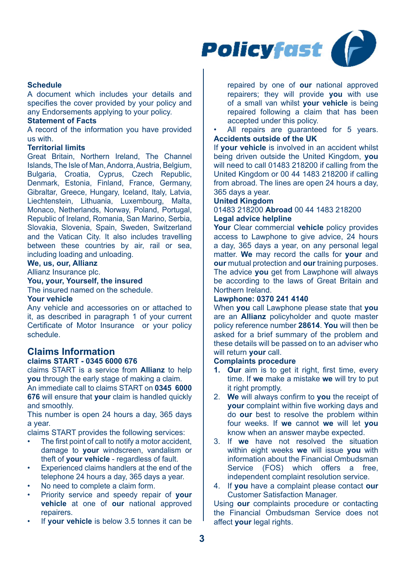

# **Schedule**

A document which includes your details and specifies the cover provided by your policy and any Endorsements applying to your policy.

# **Statement of Facts**

A record of the information you have provided us with.

#### **Territorial limits**

Great Britain, Northern Ireland, The Channel Islands, The Isle of Man, Andorra, Austria, Belgium, Bulgaria, Croatia, Cyprus, Czech Republic, Denmark, Estonia, Finland, France, Germany, Gibraltar, Greece, Hungary, Iceland, Italy, Latvia, Liechtenstein, Lithuania, Luxembourg, Malta, Monaco, Netherlands, Norway, Poland, Portugal, Republic of Ireland, Romania, San Marino, Serbia, Slovakia, Slovenia, Spain, Sweden, Switzerland and the Vatican City. It also includes travelling between these countries by air, rail or sea. including loading and unloading.

# **We, us, our, Allianz**

Allianz Insurance plc.

# **You, your, Yourself, the insured**

The insured named on the schedule.

# **Your vehicle**

Any vehicle and accessories on or attached to it, as described in paragraph 1 of your current Certificate of Motor Insurance or your policy schedule.

# **Claims Information**

## **claims START - 0345 6000 676**

claims START is a service from **Allianz** to help **you** through the early stage of making a claim. An immediate call to claims START on **0345 6000 676** will ensure that **your** claim is handled quickly and smoothly.

This number is open 24 hours a day, 365 days a year.

claims START provides the following services:

- The first point of call to notify a motor accident. damage to **your** windscreen, vandalism or theft of **your vehicle** - regardless of fault.
- Experienced claims handlers at the end of the telephone 24 hours a day, 365 days a year.
- No need to complete a claim form.
- Priority service and speedy repair of **your vehicle** at one of **our** national approved repairers.
- If **your vehicle** is below 3.5 tonnes it can be

repaired by one of **our** national approved repairers; they will provide **you** with use of a small van whilst **your vehicle** is being repaired following a claim that has been accepted under this policy.

All repairs are quaranteed for 5 years. **Accidents outside of the UK**

If **your vehicle** is involved in an accident whilst being driven outside the United Kingdom, **you**  will need to call 01483 218200 if calling from the United Kingdom or 00 44 1483 218200 if calling from abroad. The lines are open 24 hours a day, 365 days a year.

#### **United Kingdom**

01483 218200 **Abroad** 00 44 1483 218200 **Legal advice helpline**

**Your** Clear commercial **vehicle** policy provides access to Lawphone to give advice, 24 hours a day, 365 days a year, on any personal legal matter. **We** may record the calls for **your** and **our** mutual protection and **our** training purposes. The advice **you** get from Lawphone will always be according to the laws of Great Britain and Northern Ireland.

## **Lawphone: 0370 241 4140**

When **you** call Lawphone please state that **you**  are an **Allianz** policyholder and quote master policy reference number **28614**. **You** will then be asked for a brief summary of the problem and these details will be passed on to an adviser who will return **your** call.

#### **Complaints procedure**

- 1. Our aim is to get it right, first time, every time. If **we** make a mistake **we** will try to put it right promptly.
- 2. **We** will always confirm to **you** the receipt of **your** complaint within five working days and do **our** best to resolve the problem within four weeks. If **we** cannot **we** will let **you**  know when an answer maybe expected.
- 3. If **we** have not resolved the situation within eight weeks **we** will issue **you** with information about the Financial Ombudsman Service (FOS) which offers a free, independent complaint resolution service.
- 4. If **you** have a complaint please contact **our**  Customer Satisfaction Manager.

Using **our** complaints procedure or contacting the Financial Ombudsman Service does not affect **your** legal rights.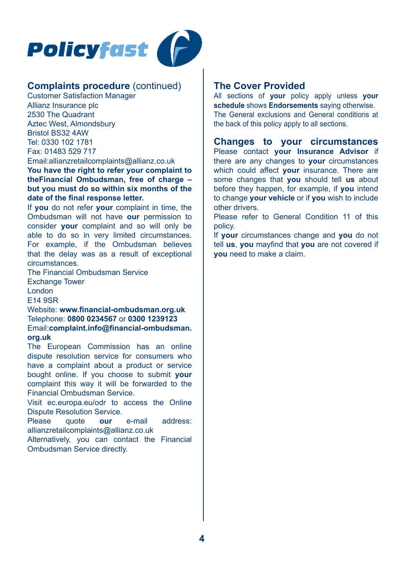

# **Complaints procedure** (continued)

Customer Satisfaction Manager Allianz Insurance plc 2530 The Quadrant Aztec West, Almondsbury Bristol BS32 4AW Tel: 0330 102 1781 Fax: 01483 529 717

Email:allianzretailcomplaints@allianz.co.uk **You have the right to refer your complaint to theFinancial Ombudsman, free of charge – but you must do so within six months of the date of the final response letter.** 

If **you** do not refer **your** complaint in time, the Ombudsman will not have **our** permission to consider **your** complaint and so will only be able to do so in very limited circumstances. For example, if the Ombudsman believes that the delay was as a result of exceptional circumstances.

The Financial Ombudsman Service Exchange Tower London E14 9SR

Website: **www.financial-ombudsman.org.uk** Telephone: **0800 0234567** or **0300 1239123** Email:**complaint.info@financial-ombudsman. org.uk**

The European Commission has an online dispute resolution service for consumers who have a complaint about a product or service bought online. If you choose to submit **your** complaint this way it will be forwarded to the Financial Ombudsman Service.

Visit ec.europa.eu/odr to access the Online Dispute Resolution Service.<br>Please quote our

quote **our** e-mail address: allianzretailcomplaints@allianz.co.uk

Alternatively, you can contact the Financial Ombudsman Service directly.

# **The Cover Provided**

All sections of **your** policy apply unless **your schedule** shows **Endorsements** saying otherwise. The General exclusions and General conditions at the back of this policy apply to all sections.

**Changes to your circumstances**  Please contact **your Insurance Advisor** if there are any changes to **your** circumstances which could affect **your** insurance. There are some changes that **you** should tell **us** about before they happen, for example, if **you** intend to change **your vehicle** or if **you** wish to include other drivers.

Please refer to General Condition 11 of this policy.

If **your** circumstances change and **you** do not tell **us**, **you** mayfind that **you** are not covered if **you** need to make a claim.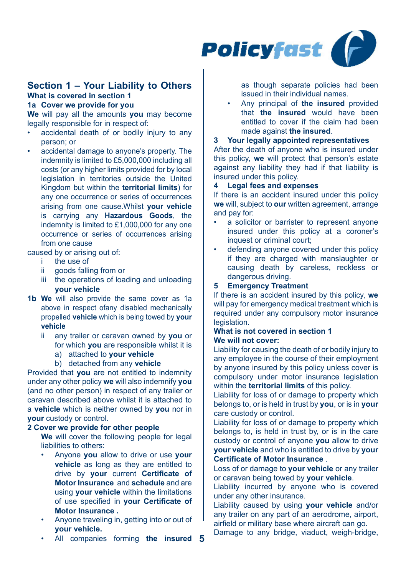

## **Section 1 – Your Liability to Others What is covered in section 1 1a Cover we provide for you**

**We** will pay all the amounts **you** may become legally responsible for in respect of:

- accidental death of or bodily injury to any person; or
- accidental damage to anyone's property. The indemnity is limited to £5,000,000 including all costs (or any higher limits provided for by local legislation in territories outside the United Kingdom but within the **territorial limits**) for any one occurrence or series of occurrences arising from one cause.Whilst **your vehicle** is carrying any **Hazardous Goods**, the indemnity is limited to £1,000,000 for any one occurrence or series of occurrences arising from one cause

## caused by or arising out of:

- i the use of<br>ii goods falli
- goods falling from or
- iii the operations of loading and unloading **your vehicle**
- **1b We** will also provide the same cover as 1a above in respect ofany disabled mechanically propelled **vehicle** which is being towed by **your vehicle**
	- ii any trailer or caravan owned by **you** or for which **you** are responsible whilst it is
		- a) attached to **your vehicle**
		- b) detached from any **vehicle**

Provided that **you** are not entitled to indemnity under any other policy **we** will also indemnify **you**  (and no other person) in respect of any trailer or caravan described above whilst it is attached to a **vehicle** which is neither owned by **you** nor in **your** custody or control.

#### **2 Cover we provide for other people**

**We** will cover the following people for legal liabilities to others:

- Anyone **you** allow to drive or use **your vehicle** as long as they are entitled to drive by **your** current **Certificate of Motor Insurance** and **schedule** and are using **your vehicle** within the limitations of use specified in **your Certificate of Motor Insurance .**
- Anyone traveling in, getting into or out of **your vehicle.**
- **5** All companies forming **the insured**

as though separate policies had been issued in their individual names.

• Any principal of **the insured** provided that **the insured** would have been entitled to cover if the claim had been made against **the insured**.

## **3 Your legally appointed representatives**

After the death of anyone who is insured under this policy, **we** will protect that person's estate against any liability they had if that liability is insured under this policy.

## **4 Legal fees and expenses**

If there is an accident insured under this policy **we** will, subject to **our** written agreement, arrange and pay for:

- a solicitor or barrister to represent anyone insured under this policy at a coroner's inquest or criminal court;
- defending anyone covered under this policy if they are charged with manslaughter or causing death by careless, reckless or dangerous driving.

## **5 Emergency Treatment**

If there is an accident insured by this policy, **we**  will pay for emergency medical treatment which is required under any compulsory motor insurance **legislation** 

## **What is not covered in section 1 We will not cover:**

Liability for causing the death of or bodily injury to any employee in the course of their employment by anyone insured by this policy unless cover is compulsory under motor insurance legislation within the **territorial limits** of this policy.

Liability for loss of or damage to property which belongs to, or is held in trust by **you**, or is in **your** care custody or control.

Liability for loss of or damage to property which belongs to, is held in trust by, or is in the care custody or control of anyone **you** allow to drive **your vehicle** and who is entitled to drive by **your Certificate of Motor Insurance** .

Loss of or damage to **your vehicle** or any trailer or caravan being towed by **your vehicle**.

Liability incurred by anyone who is covered under any other insurance.

Liability caused by using **your vehicle** and/or any trailer on any part of an aerodrome, airport, airfield or military base where aircraft can go.

Damage to any bridge, viaduct, weigh-bridge,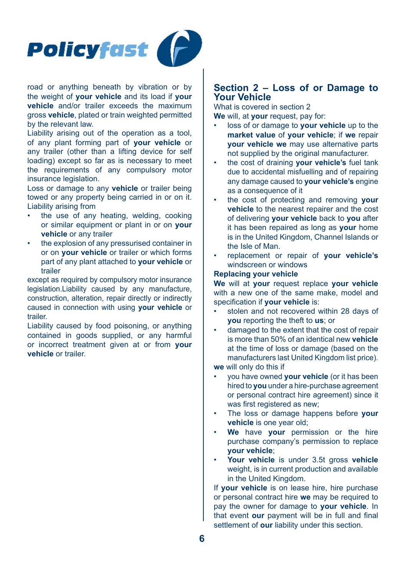

road or anything beneath by vibration or by the weight of **your vehicle** and its load if **your vehicle** and/or trailer exceeds the maximum gross **vehicle**, plated or train weighted permitted by the relevant law.

Liability arising out of the operation as a tool, of any plant forming part of **your vehicle** or any trailer (other than a lifting device for self loading) except so far as is necessary to meet the requirements of any compulsory motor insurance legislation.

Loss or damage to any **vehicle** or trailer being towed or any property being carried in or on it. Liability arising from

- the use of any heating, welding, cooking or similar equipment or plant in or on **your vehicle** or any trailer
- the explosion of any pressurised container in or on **your vehicle** or trailer or which forms part of any plant attached to **your vehicle** or trailer

except as required by compulsory motor insurance legislation.Liability caused by any manufacture, construction, alteration, repair directly or indirectly caused in connection with using **your vehicle** or trailer.

Liability caused by food poisoning, or anything contained in goods supplied, or any harmful or incorrect treatment given at or from **your vehicle** or trailer.

# **Section 2 – Loss of or Damage to Your Vehicle**

What is covered in section 2 **We** will, at **your** request, pay for:

- loss of or damage to **your vehicle** up to the **market value** of **your vehicle**; if **we** repair **your vehicle we** may use alternative parts not supplied by the original manufacturer.
- the cost of draining **your vehicle's** fuel tank due to accidental misfuelling and of repairing any damage caused to **your vehicle's** engine as a consequence of it
- the cost of protecting and removing **your vehicle** to the nearest repairer and the cost of delivering **your vehicle** back to **you** after it has been repaired as long as **your** home is in the United Kingdom, Channel Islands or the Isle of Man.
- replacement or repair of **your vehicle's**  windscreen or windows

#### **Replacing your vehicle**

**We** will at **your** request replace **your vehicle**  with a new one of the same make, model and specification if **your vehicle** is:

- stolen and not recovered within 28 days of **you** reporting the theft to **us**; or
- damaged to the extent that the cost of repair is more than 50% of an identical new **vehicle** at the time of loss or damage (based on the manufacturers last United Kingdom list price).

**we** will only do this if

- you have owned **your vehicle** (or it has been hired to **you** under a hire-purchase agreement or personal contract hire agreement) since it was first registered as new:
- The loss or damage happens before **your vehicle** is one year old;
- **We** have **your** permission or the hire purchase company's permission to replace **your vehicle**;
- **Your vehicle** is under 3.5t gross **vehicle** weight, is in current production and available in the United Kingdom.

If **your vehicle** is on lease hire, hire purchase or personal contract hire **we** may be required to pay the owner for damage to **your vehicle**. In that event **our** payment will be in full and final settlement of **our** liability under this section.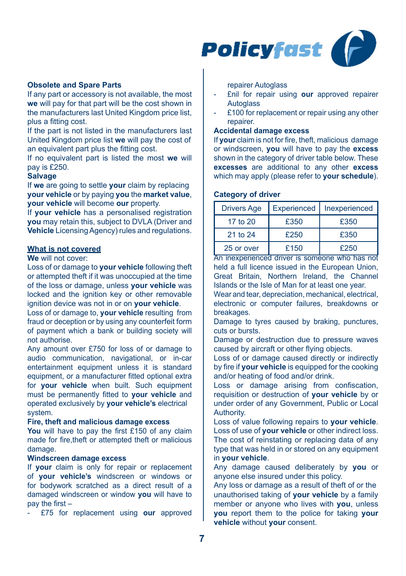

## **Obsolete and Spare Parts**

If any part or accessory is not available, the most **we** will pay for that part will be the cost shown in the manufacturers last United Kingdom price list, plus a fitting cost.

If the part is not listed in the manufacturers last United Kingdom price list **we** will pay the cost of an equivalent part plus the fitting cost.

If no equivalent part is listed the most **we** will pay is £250.

## **Salvage**

If **we** are going to settle **your** claim by replacing **your vehicle** or by paying **you** the **market value**, **your vehicle** will become **our** property.

If **your vehicle** has a personalised registration **you** may retain this, subject to DVLA (Driver and **Vehicle** Licensing Agency) rules and regulations.

# **What is not covered**

## **We** will not cover:

Loss of or damage to **your vehicle** following theft or attempted theft if it was unoccupied at the time of the loss or damage, unless **your vehicle** was locked and the ignition key or other removable ignition device was not in or on **your vehicle**.

Loss of or damage to, **your vehicle** resulting from fraud or deception or by using any counterfeit form of payment which a bank or building society will not authorise.

Any amount over £750 for loss of or damage to audio communication, navigational, or in-car entertainment equipment unless it is standard equipment, or a manufacturer fitted optional extra for **your vehicle** when built. Such equipment must be permanently fitted to **your vehicle** and operated exclusively by **your vehicle's** electrical system.

#### **Fire, theft and malicious damage excess**

**You** will have to pay the first £150 of any claim made for fire,theft or attempted theft or malicious damage.

# **Windscreen damage excess**

If **your** claim is only for repair or replacement of **your vehicle's** windscreen or windows or for bodywork scratched as a direct result of a damaged windscreen or window **you** will have to pay the first –

- £75 for replacement using **our** approved

repairer Autoglass

- £nil for repair using **our** approved repairer **Autoglass**
- £100 for replacement or repair using any other repairer.

# **Accidental damage excess**

If **your** claim is not for fire, theft, malicious damage or windscreen, **you** will have to pay the **excess**  shown in the category of driver table below. These **excesses** are additional to any other **excess**  which may apply (please refer to **your schedule**).

#### **Category of driver**

| <b>Drivers Age</b> | Experienced | Inexperienced |
|--------------------|-------------|---------------|
| 17 to 20           | £350        | £350          |
| 21 to 24           | £250        | £350          |
| 25 or over         | £150        | £250          |

An inexperienced driver is someone who has not held a full licence issued in the European Union Great Britain, Northern Ireland, the Channel Islands or the Isle of Man for at least one year.

Wear and tear, depreciation, mechanical, electrical, electronic or computer failures, breakdowns or breakages.

Damage to tyres caused by braking, punctures, cuts or bursts.

Damage or destruction due to pressure waves caused by aircraft or other flying objects.

Loss of or damage caused directly or indirectly by fire if **your vehicle** is equipped for the cooking and/or heating of food and/or drink.

Loss or damage arising from confiscation, requisition or destruction of **your vehicle** by or under order of any Government, Public or Local Authority.

Loss of value following repairs to **your vehicle**. Loss of use of **your vehicle** or other indirect loss. The cost of reinstating or replacing data of any type that was held in or stored on any equipment in **your vehicle**.

Any damage caused deliberately by **you** or anyone else insured under this policy.

Any loss or damage as a result of theft of or the unauthorised taking of **your vehicle** by a family member or anyone who lives with **you**, unless **you** report them to the police for taking **your vehicle** without **your** consent.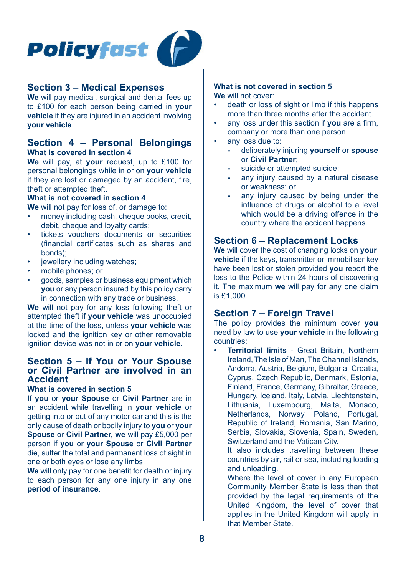

# **Section 3 – Medical Expenses**

**We** will pay medical, surgical and dental fees up to £100 for each person being carried in **your vehicle** if they are injured in an accident involving **your vehicle**.

# **Section 4 – Personal Belongings What is covered in section 4**

**We** will pay, at **your** request, up to £100 for personal belongings while in or on **your vehicle**  if they are lost or damaged by an accident, fire, theft or attempted theft.

# **What is not covered in section 4**

**We** will not pay for loss of, or damage to:

- money including cash, cheque books, credit, debit, cheque and loyalty cards;
- tickets vouchers documents or securities (financial certificates such as shares and bonds);
- jewellery including watches;
- mobile phones; or
- goods, samples or business equipment which **you** or any person insured by this policy carry in connection with any trade or business.

**We** will not pay for any loss following theft or attempted theft if **your vehicle** was unoccupied at the time of the loss, unless **your vehicle** was locked and the ignition key or other removable ignition device was not in or on **your vehicle.**

# **Section 5 – If You or Your Spouse or Civil Partner are involved in an Accident**

# **What is covered in section 5**

If **you** or **your Spouse** or **Civil Partner** are in an accident while travelling in **your vehicle** or getting into or out of any motor car and this is the only cause of death or bodily injury to **you** or **your Spouse** or **Civil Partner, we** will pay £5,000 per person if **you** or **your Spouse** or **Civil Partner**  die, suffer the total and permanent loss of sight in one or both eyes or lose any limbs.

**We** will only pay for one benefit for death or injury to each person for any one injury in any one **period of insurance**.

#### **What is not covered in section 5 We** will not cover:

- death or loss of sight or limb if this happens more than three months after the accident.
- any loss under this section if **you** are a firm, company or more than one person.
- any loss due to:
	- **-** deliberately injuring **yourself** or **spouse**  or **Civil Partner**;
	- **-** suicide or attempted suicide;
	- **-** any injury caused by a natural disease or weakness; or
	- **-** any injury caused by being under the influence of drugs or alcohol to a level which would be a driving offence in the country where the accident happens.

# **Section 6 – Replacement Locks**

**We** will cover the cost of changing locks on **your vehicle** if the keys, transmitter or immobiliser key have been lost or stolen provided **you** report the loss to the Police within 24 hours of discovering it. The maximum **we** will pay for any one claim is £1,000.

# **Section 7 – Foreign Travel**

The policy provides the minimum cover **you**  need by law to use **your vehicle** in the following countries:

• **Territorial limits** - Great Britain, Northern Ireland, The Isle of Man, The Channel Islands, Andorra, Austria, Belgium, Bulgaria, Croatia, Cyprus, Czech Republic, Denmark, Estonia, Finland, France, Germany, Gibraltar, Greece, Hungary, Iceland, Italy, Latvia, Liechtenstein, Lithuania, Luxembourg, Malta, Monaco, Netherlands, Norway, Poland, Portugal, Republic of Ireland, Romania, San Marino, Serbia, Slovakia, Slovenia, Spain, Sweden, Switzerland and the Vatican City.

It also includes travelling between these countries by air, rail or sea, including loading and unloading.

Where the level of cover in any European Community Member State is less than that provided by the legal requirements of the United Kingdom, the level of cover that applies in the United Kingdom will apply in that Member State.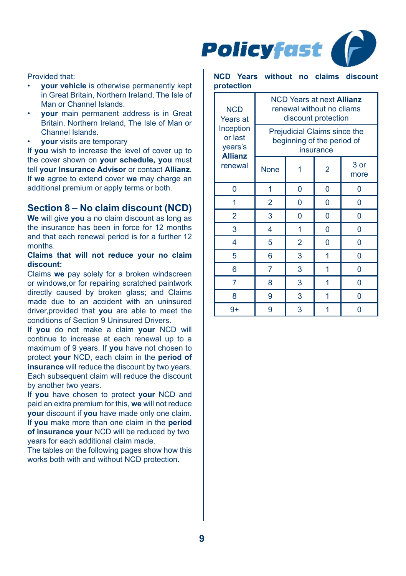

# Provided that:

- **your vehicle** is otherwise permanently kept in Great Britain, Northern Ireland, The Isle of Man or Channel Islands.
- **your** main permanent address is in Great Britain, Northern Ireland, The Isle of Man or Channel Islands.
- **your** visits are temporary

If **you** wish to increase the level of cover up to the cover shown on **your schedule, you** must tell **your Insurance Advisor** or contact **Allianz**. If **we** agree to extend cover **we** may charge an additional premium or apply terms or both.

# **Section 8 – No claim discount (NCD)**

**We** will give **you** a no claim discount as long as the insurance has been in force for 12 months and that each renewal period is for a further 12 months.

# **Claims that will not reduce your no claim discount:**

Claims **we** pay solely for a broken windscreen or windows,or for repairing scratched paintwork directly caused by broken glass; and Claims made due to an accident with an uninsured driver provided that **you** are able to meet the conditions of Section 9 Uninsured Drivers.

If **you** do not make a claim **your** NCD will continue to increase at each renewal up to a maximum of 9 years. If **you** have not chosen to protect **your** NCD, each claim in the **period of insurance** will reduce the discount by two years. Each subsequent claim will reduce the discount by another two years.

If **you** have chosen to protect **your** NCD and paid an extra premium for this, **we** will not reduce **your** discount if **you** have made only one claim. If **you** make more than one claim in the **period of insurance your** NCD will be reduced by two years for each additional claim made.

The tables on the following pages show how this works both with and without NCD protection.

## **NCD Years without no claims discount protection**

| <b>NCD</b><br>Years at                            | NCD Years at next <b>Allianz</b><br>renewal without no cliams<br>discount protection |                |   |              |  |
|---------------------------------------------------|--------------------------------------------------------------------------------------|----------------|---|--------------|--|
| Inception<br>or last<br>years's<br><b>Allianz</b> | Prejudicial Claims since the<br>beginning of the period of<br>insurance              |                |   |              |  |
| renewal                                           | <b>None</b>                                                                          |                | 2 | 3 or<br>more |  |
| 0                                                 | 1                                                                                    | 0              | 0 | 0            |  |
| 1                                                 | $\overline{2}$                                                                       | 0              | 0 | 0            |  |
| $\overline{2}$                                    | 3                                                                                    | 0              | 0 | 0            |  |
| 3                                                 | 4                                                                                    | 1              | 0 | 0            |  |
| 4                                                 | 5                                                                                    | $\overline{2}$ | 0 | 0            |  |
| 5                                                 | 6                                                                                    | 3              | 1 | 0            |  |
| 6                                                 | 7                                                                                    | 3              | 1 | 0            |  |
| 7                                                 | 8                                                                                    | 3              | 1 | 0            |  |
| 8                                                 | 9                                                                                    | 3              | 1 | 0            |  |
| $9+$                                              | 9                                                                                    | 3              |   | 0            |  |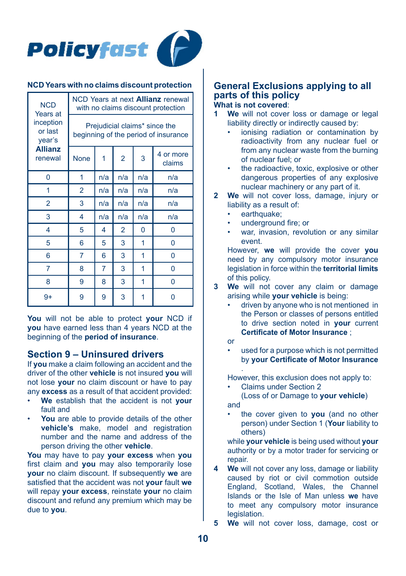

#### **NCD Years with no claims discount protection**

| <b>NCD</b><br>Years at                                      | NCD Years at next <b>Allianz</b> renewal<br>with no claims discount protection |     |                |     |                     |  |
|-------------------------------------------------------------|--------------------------------------------------------------------------------|-----|----------------|-----|---------------------|--|
| inception<br>or last<br>year's<br><b>Allianz</b><br>renewal | Prejudicial claims* since the<br>beginning of the period of insurance          |     |                |     |                     |  |
|                                                             | <b>None</b>                                                                    | 1   | $\overline{2}$ | 3   | 4 or more<br>claims |  |
| 0                                                           | 1                                                                              | n/a | n/a            | n/a | n/a                 |  |
| 1                                                           | $\overline{2}$                                                                 | n/a | n/a            | n/a | n/a                 |  |
| $\overline{2}$                                              | 3                                                                              | n/a | n/a            | n/a | n/a                 |  |
| 3                                                           | 4                                                                              | n/a | n/a            | n/a | n/a                 |  |
| 4                                                           | 5                                                                              | 4   | $\overline{2}$ | 0   | 0                   |  |
| 5                                                           | 6                                                                              | 5   | 3              | 1   | 0                   |  |
| 6                                                           | 7                                                                              | 6   | 3              | 1   | 0                   |  |
| 7                                                           | 8                                                                              | 7   | 3              | 1   | 0                   |  |
| 8                                                           | 9                                                                              | 8   | 3              | 1   | 0                   |  |
| $9+$                                                        | 9                                                                              | 9   | 3              | 1   | ი                   |  |

**You** will not be able to protect **your** NCD if **you** have earned less than 4 years NCD at the beginning of the **period of insurance**.

# **Section 9 – Uninsured drivers**

If **you** make a claim following an accident and the driver of the other **vehicle** is not insured **you** will not lose **your** no claim discount or have to pay any **excess** as a result of that accident provided:

- **We** establish that the accident is not **your**  fault and
- You are able to provide details of the other **vehicle's** make, model and registration number and the name and address of the person driving the other **vehicle**.

**You** may have to pay **your excess** when **you**  first claim and **you** may also temporarily lose **your** no claim discount. If subsequently **we** are satisfied that the accident was not **your** fault **we**  will repay **your excess**, reinstate **your** no claim discount and refund any premium which may be due to **you**.

## **General Exclusions applying to all parts of this policy What is not covered**:

- **1 We** will not cover loss or damage or legal liability directly or indirectly caused by:
	- ionising radiation or contamination by radioactivity from any nuclear fuel or from any nuclear waste from the burning of nuclear fuel; or
	- the radioactive, toxic, explosive or other dangerous properties of any explosive nuclear machinery or any part of it.
- **2 We** will not cover loss, damage, injury or liability as a result of:
	- earthquake:
	- underground fire; or
	- war, invasion, revolution or any similar event.

However, **we** will provide the cover **you**  need by any compulsory motor insurance legislation in force within the **territorial limits**  of this policy.

- **3 We** will not cover any claim or damage arising while **your vehicle** is being:
	- driven by anyone who is not mentioned in the Person or classes of persons entitled to drive section noted in **your** current **Certificate of Motor Insurance** ;
	- or
	- used for a purpose which is not permitted by **your Certificate of Motor Insurance**

. However, this exclusion does not apply to:

• Claims under Section 2

(Loss of or Damage to **your vehicle**) and

• the cover given to **you** (and no other person) under Section 1 (**Your** liability to others)

while **your vehicle** is being used without **your**  authority or by a motor trader for servicing or repair.

- **4 We** will not cover any loss, damage or liability caused by riot or civil commotion outside England, Scotland, Wales, the Channel Islands or the Isle of Man unless **we** have to meet any compulsory motor insurance **legislation**
- **5 We** will not cover loss, damage, cost or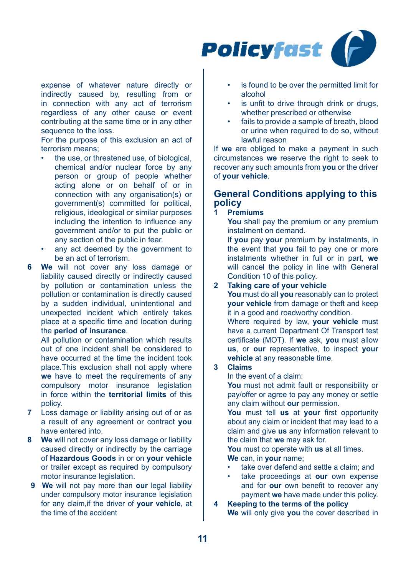

expense of whatever nature directly or indirectly caused by, resulting from or in connection with any act of terrorism regardless of any other cause or event contributing at the same time or in any other sequence to the loss.

For the purpose of this exclusion an act of terrorism means;

- the use, or threatened use, of biological. chemical and/or nuclear force by any person or group of people whether acting alone or on behalf of or in connection with any organisation(s) or government(s) committed for political, religious, ideological or similar purposes including the intention to influence any government and/or to put the public or any section of the public in fear.
- any act deemed by the government to be an act of terrorism.
- **6 We** will not cover any loss damage or liability caused directly or indirectly caused by pollution or contamination unless the pollution or contamination is directly caused by a sudden individual, unintentional and unexpected incident which entirely takes place at a specific time and location during the **period of insurance**.

All pollution or contamination which results out of one incident shall be considered to have occurred at the time the incident took place.This exclusion shall not apply where **we** have to meet the requirements of any compulsory motor insurance legislation in force within the **territorial limits** of this policy.

- **7** Loss damage or liability arising out of or as a result of any agreement or contract **you**  have entered into.
- **8 We** will not cover any loss damage or liability caused directly or indirectly by the carriage of **Hazardous Goods** in or on **your vehicle**  or trailer except as required by compulsory motor insurance legislation.
- **9 We** will not pay more than **our** legal liability under compulsory motor insurance legislation for any claim,if the driver of **your vehicle**, at the time of the accident
- is found to be over the permitted limit for alcohol
- is unfit to drive through drink or drugs whether prescribed or otherwise
- fails to provide a sample of breath, blood or urine when required to do so, without lawful reason

If **we** are obliged to make a payment in such circumstances **we** reserve the right to seek to recover any such amounts from **you** or the driver of **your vehicle**.

# **General Conditions applying to this policy**

#### **1 Premiums**

**You** shall pay the premium or any premium instalment on demand.

If **you** pay **your** premium by instalments, in the event that **you** fail to pay one or more instalments whether in full or in part, we will cancel the policy in line with General Condition 10 of this policy.

# **2 Taking care of your vehicle**

**You** must do all **you** reasonably can to protect **your vehicle** from damage or theft and keep it in a good and roadworthy condition.

Where required by law, **your vehicle** must have a current Department Of Transport test certificate (MOT). If **we** ask, **you** must allow **us**, or **our** representative, to inspect **your vehicle** at any reasonable time.

#### **3 Claims**

In the event of a claim:

**You** must not admit fault or responsibility or pay/offer or agree to pay any money or settle any claim without **our** permission.

**You** must tell **us** at **your** first opportunity about any claim or incident that may lead to a claim and give **us** any information relevant to the claim that **we** may ask for.

**You** must co operate with **us** at all times. **We** can, in **your** name;

- take over defend and settle a claim; and
- take proceedings at **our** own expense and for **our** own benefit to recover any payment **we** have made under this policy.

**4 Keeping to the terms of the policy**

**We** will only give **you** the cover described in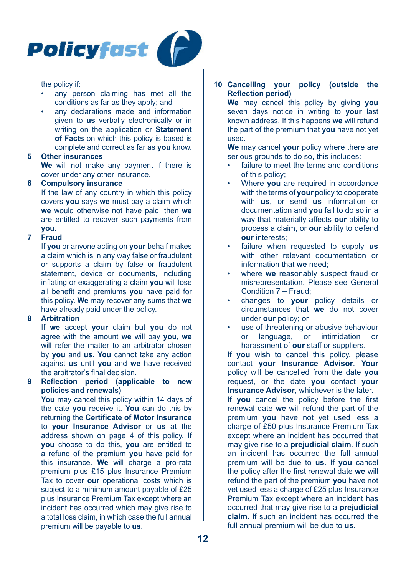

the policy if:

- any person claiming has met all the conditions as far as they apply; and
- any declarations made and information given to **us** verbally electronically or in writing on the application or **Statement of Facts** on which this policy is based is complete and correct as far as **you** know.

#### **5 Other insurances**

**We** will not make any payment if there is cover under any other insurance.

#### **6 Compulsory insurance**

If the law of any country in which this policy covers **you** says **we** must pay a claim which **we** would otherwise not have paid, then **we**  are entitled to recover such payments from **you**.

## **7 Fraud**

If **you** or anyone acting on **your** behalf makes a claim which is in any way false or fraudulent or supports a claim by false or fraudulent statement, device or documents, including inflating or exaggerating a claim **you** will lose all benefit and premiums **you** have paid for this policy. **We** may recover any sums that **we**  have already paid under the policy.

## **8 Arbitration**

If **we** accept **your** claim but **you** do not agree with the amount **we** will pay **you**, **we**  will refer the matter to an arbitrator chosen by **you** and **us**. **You** cannot take any action against **us** until **you** and **we** have received the arbitrator's final decision.

## **9 Reflection period (applicable to new policies and renewals)**

**You** may cancel this policy within 14 days of the date **you** receive it. **You** can do this by returning the **Certificate of Motor Insurance**  to **your Insurance Advisor** or **us** at the address shown on page 4 of this policy. If **you** choose to do this, **you** are entitled to a refund of the premium **you** have paid for this insurance. **We** will charge a pro-rata premium plus £15 plus Insurance Premium Tax to cover **our** operational costs which is subject to a minimum amount payable of £25 plus Insurance Premium Tax except where an incident has occurred which may give rise to a total loss claim, in which case the full annual premium will be payable to **us**.

**10 Cancelling your policy (outside the Reflection period)**

**We** may cancel this policy by giving **you**  seven days notice in writing to **your** last known address. If this happens **we** will refund the part of the premium that **you** have not yet used.

**We** may cancel **your** policy where there are serious grounds to do so, this includes:

- failure to meet the terms and conditions of this policy;
- Where **you** are required in accordance with the terms of **your** policy to cooperate with **us**, or send **us** information or documentation and **you** fail to do so in a way that materially affects **our** ability to process a claim, or **our** ability to defend **our** interests;
- failure when requested to supply **us**  with other relevant documentation or information that **we** need;
- where **we** reasonably suspect fraud or misrepresentation. Please see General Condition 7 – Fraud;
- changes to **your** policy details or circumstances that **we** do not cover under **our** policy; or
- use of threatening or abusive behaviour or language, or intimidation or harassment of **our** staff or suppliers.

If **you** wish to cancel this policy, please contact **your Insurance Advisor**. **Your**  policy will be cancelled from the date **you**  request, or the date **you** contact **your Insurance Advisor**, whichever is the later.

If **you** cancel the policy before the first renewal date **we** will refund the part of the premium **you** have not yet used less a charge of £50 plus Insurance Premium Tax except where an incident has occurred that may give rise to a **prejudicial claim**. If such an incident has occurred the full annual premium will be due to **us**. If **you** cancel the policy after the first renewal date **we** will refund the part of the premium **you** have not yet used less a charge of £25 plus Insurance Premium Tax except where an incident has occurred that may give rise to a **prejudicial claim**. If such an incident has occurred the full annual premium will be due to **us**.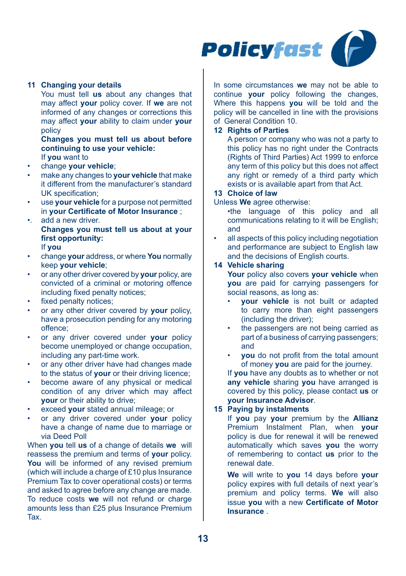

## **11 Changing your details**

You must tell **us** about any changes that may affect **your** policy cover. If **we** are not informed of any changes or corrections this may affect **your** ability to claim under **your**  policy

**Changes you must tell us about before continuing to use your vehicle:** If **you** want to

- change **your vehicle**;
- make any changes to **your vehicle** that make it different from the manufacturer's standard UK specification;
- use **your vehicle** for a purpose not permitted in **your Certificate of Motor Insurance** ;
- •. add a new driver. **Changes you must tell us about at your first opportunity:** If **you**
- change **your** address, or where **You** normally keep **your vehicle**;
- or any other driver covered by **your** policy, are convicted of a criminal or motoring offence including fixed penalty notices;
- fixed penalty notices:
- or any other driver covered by **your** policy, have a prosecution pending for any motoring offence;
- or any driver covered under **your** policy become unemployed or change occupation, including any part-time work.
- or any other driver have had changes made to the status of **your** or their driving licence;
- become aware of any physical or medical condition of any driver which may affect **your** or their ability to drive;
- exceed **your** stated annual mileage; or
- or any driver covered under **your** policy have a change of name due to marriage or via Deed Poll

When **you** tell **us** of a change of details **we** will reassess the premium and terms of **your** policy. **You** will be informed of any revised premium (which will include a charge of £10 plus Insurance Premium Tax to cover operational costs) or terms and asked to agree before any change are made. To reduce costs **we** will not refund or charge amounts less than £25 plus Insurance Premium Tax.

In some circumstances **we** may not be able to continue **your** policy following the changes, Where this happens **you** will be told and the policy will be cancelled in line with the provisions of General Condition 10.

## **12 Rights of Parties**

A person or company who was not a party to this policy has no right under the Contracts (Rights of Third Parties) Act 1999 to enforce any term of this policy but this does not affect any right or remedy of a third party which exists or is available apart from that Act.

# **13 Choice of law**

#### Unless **We** agree otherwise:

- •the language of this policy and all communications relating to it will be English; and
- all aspects of this policy including negotiation and performance are subject to English law and the decisions of English courts.

# **14 Vehicle sharing**

**Your** policy also covers **your vehicle** when **you** are paid for carrying passengers for social reasons, as long as:

- **your vehicle** is not built or adapted to carry more than eight passengers (including the driver);
- the passengers are not being carried as part of a business of carrying passengers; and
- **you** do not profit from the total amount of money **you** are paid for the journey.

If **you** have any doubts as to whether or not **any vehicle** sharing **you** have arranged is covered by this policy, please contact **us** or **your Insurance Advisor**.

# **15 Paying by instalments**

If **you** pay **your** premium by the **Allianz**  Premium Instalment Plan, when **your**  policy is due for renewal it will be renewed automatically which saves **you** the worry of remembering to contact **us** prior to the renewal date.

**We** will write to **you** 14 days before **your** policy expires with full details of next year's premium and policy terms. **We** will also issue **you** with a new **Certificate of Motor Insurance** .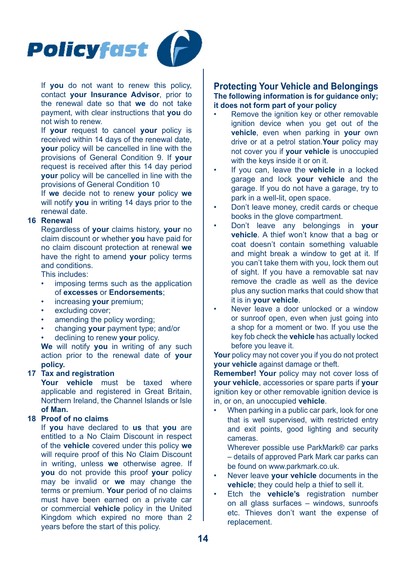

If **you** do not want to renew this policy, contact **your Insurance Advisor**, prior to the renewal date so that **we** do not take payment, with clear instructions that **you** do not wish to renew.

If **your** request to cancel **your** policy is received within 14 days of the renewal date, **your** policy will be cancelled in line with the provisions of General Condition 9. If **your**  request is received after this 14 day period **your** policy will be cancelled in line with the provisions of General Condition 10

If **we** decide not to renew **your** policy **we**  will notify **you** in writing 14 days prior to the renewal date.

## **16 Renewal**

Regardless of **your** claims history, **your** no claim discount or whether **you** have paid for no claim discount protection at renewal **we**  have the right to amend **your** policy terms and conditions.

This includes:

- imposing terms such as the application of **excesses** or **Endorsements**;
- increasing **your** premium;
- excluding cover:
- amending the policy wording;
- changing **your** payment type; and/or
- declining to renew **your** policy.

**We** will notify **you** in writing of any such action prior to the renewal date of **your policy.**

#### **17 Tax and registration**

**Your vehicle** must be taxed where applicable and registered in Great Britain Northern Ireland, the Channel Islands or Isle **of Man.**

#### **18 Proof of no claims**

If **you** have declared to **us** that **you** are entitled to a No Claim Discount in respect of the **vehicle** covered under this policy **we** will require proof of this No Claim Discount in writing, unless **we** otherwise agree. If **you** do not provide this proof **your** policy may be invalid or **we** may change the terms or premium. **Your** period of no claims must have been earned on a private car or commercial **vehicle** policy in the United Kingdom which expired no more than 2 years before the start of this policy.

# **Protecting Your Vehicle and Belongings The following information is for guidance only; it does not form part of your policy**

- Remove the ignition key or other removable ignition device when you get out of the **vehicle**, even when parking in **your** own drive or at a petrol station.**Your** policy may not cover you if **your vehicle** is unoccupied with the keys inside it or on it.
- If you can, leave the **vehicle** in a locked garage and lock **your vehicle** and the garage. If you do not have a garage, try to park in a well-lit, open space.
- Don't leave money, credit cards or cheque books in the glove compartment.
- Don't leave any belongings in **your vehicle**. A thief won't know that a bag or coat doesn't contain something valuable and might break a window to get at it. If you can't take them with you, lock them out of sight. If you have a removable sat nav remove the cradle as well as the device plus any suction marks that could show that it is in **your vehicle**.
- Never leave a door unlocked or a window or sunroof open, even when just going into a shop for a moment or two. If you use the key fob check the **vehicle** has actually locked before you leave it.

**Your** policy may not cover you if you do not protect **your vehicle** against damage or theft.

**Remember! Your** policy may not cover loss of **your vehicle**, accessories or spare parts if **your** ignition key or other removable ignition device is in, or on, an unoccupied **vehicle**.

When parking in a public car park, look for one that is well supervised, with restricted entry and exit points, good lighting and security cameras.

Wherever possible use ParkMark® car parks – details of approved Park Mark car parks can be found on www.parkmark.co.uk.

- Never leave **your vehicle** documents in the **vehicle**; they could help a thief to sell it.
- Etch the **vehicle's** registration number on all glass surfaces – windows, sunroofs etc. Thieves don't want the expense of replacement.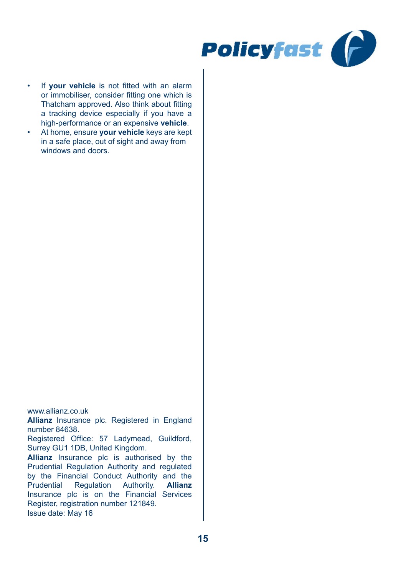

- If **your vehicle** is not fitted with an alarm or immobiliser, consider fitting one which is Thatcham approved. Also think about fitting a tracking device especially if you have a high-performance or an expensive **vehicle**.
- At home, ensure **your vehicle** keys are kept in a safe place, out of sight and away from windows and doors.

www.allianz.co.uk

**Allianz** Insurance plc. Registered in England number 84638.

Registered Office: 57 Ladymead, Guildford, Surrey GU1 1DB, United Kingdom.

**Allianz** Insurance plc is authorised by the Prudential Regulation Authority and regulated by the Financial Conduct Authority and the<br>Prudential Regulation Authority. **Allianz** Prudential Regulation Authority. Insurance plc is on the Financial Services Register, registration number 121849. Issue date: May 16